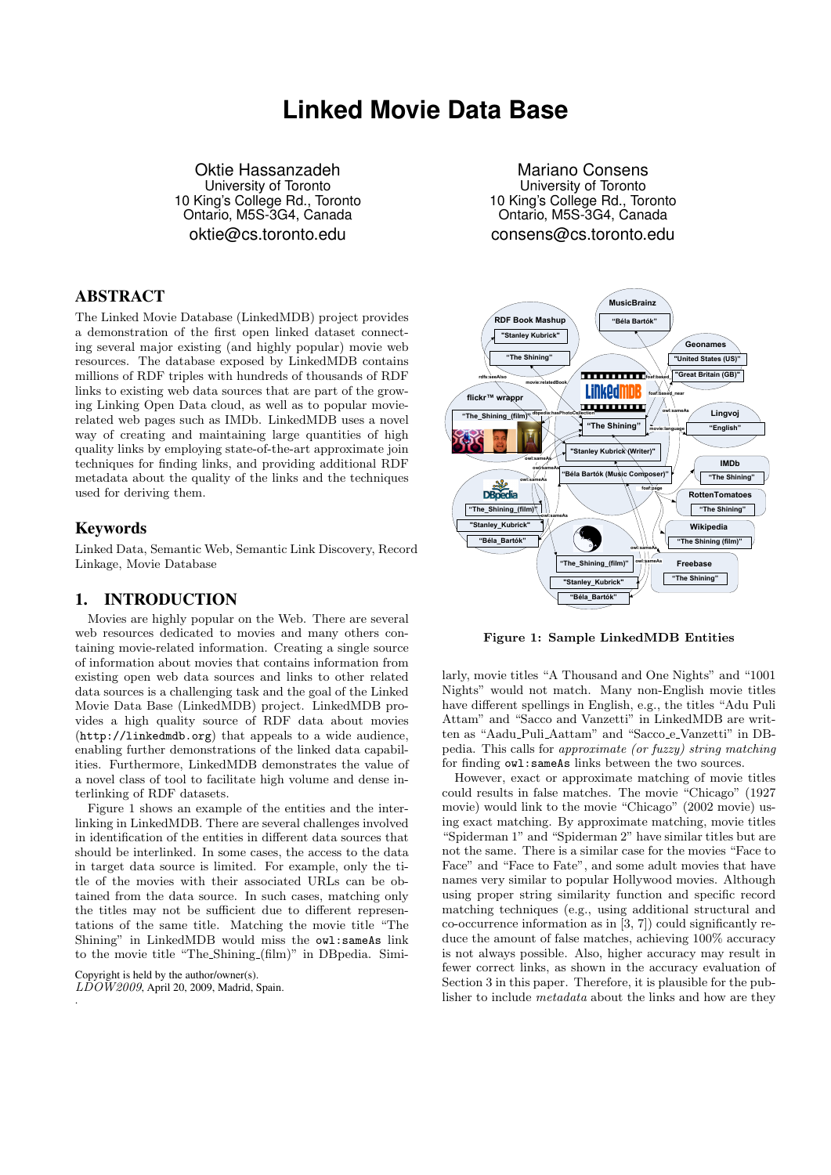# **Linked Movie Data Base**

Oktie Hassanzadeh University of Toronto 10 King's College Rd., Toronto Ontario, M5S-3G4, Canada oktie@cs.toronto.edu

### ABSTRACT

The Linked Movie Database (LinkedMDB) project provides a demonstration of the first open linked dataset connecting several major existing (and highly popular) movie web resources. The database exposed by LinkedMDB contains millions of RDF triples with hundreds of thousands of RDF links to existing web data sources that are part of the growing Linking Open Data cloud, as well as to popular movierelated web pages such as IMDb. LinkedMDB uses a novel way of creating and maintaining large quantities of high quality links by employing state-of-the-art approximate join techniques for finding links, and providing additional RDF metadata about the quality of the links and the techniques used for deriving them.

### Keywords

Linked Data, Semantic Web, Semantic Link Discovery, Record Linkage, Movie Database

### 1. INTRODUCTION

Movies are highly popular on the Web. There are several web resources dedicated to movies and many others containing movie-related information. Creating a single source of information about movies that contains information from existing open web data sources and links to other related data sources is a challenging task and the goal of the Linked Movie Data Base (LinkedMDB) project. LinkedMDB provides a high quality source of RDF data about movies (http://linkedmdb.org) that appeals to a wide audience, enabling further demonstrations of the linked data capabilities. Furthermore, LinkedMDB demonstrates the value of a novel class of tool to facilitate high volume and dense interlinking of RDF datasets.

Figure 1 shows an example of the entities and the interlinking in LinkedMDB. There are several challenges involved in identification of the entities in different data sources that should be interlinked. In some cases, the access to the data in target data source is limited. For example, only the title of the movies with their associated URLs can be obtained from the data source. In such cases, matching only the titles may not be sufficient due to different representations of the same title. Matching the movie title "The Shining" in LinkedMDB would miss the owl:sameAs link to the movie title "The Shining (film)" in DBpedia. Simi-

Copyright is held by the author/owner(s).  $L\dot{D}O\dot{W}$ 2009, April 20, 2009, Madrid, Spain. .

Mariano Consens University of Toronto 10 King's College Rd., Toronto Ontario, M5S-3G4, Canada consens@cs.toronto.edu



Figure 1: Sample LinkedMDB Entities

larly, movie titles "A Thousand and One Nights" and "1001 Nights" would not match. Many non-English movie titles have different spellings in English, e.g., the titles "Adu Puli Attam" and "Sacco and Vanzetti" in LinkedMDB are written as "Aadu\_Puli\_Aattam" and "Sacco\_e\_Vanzetti" in DBpedia. This calls for approximate (or fuzzy) string matching for finding owl:sameAs links between the two sources.

However, exact or approximate matching of movie titles could results in false matches. The movie "Chicago" (1927 movie) would link to the movie "Chicago" (2002 movie) using exact matching. By approximate matching, movie titles "Spiderman 1" and "Spiderman 2" have similar titles but are not the same. There is a similar case for the movies "Face to Face" and "Face to Fate", and some adult movies that have names very similar to popular Hollywood movies. Although using proper string similarity function and specific record matching techniques (e.g., using additional structural and co-occurrence information as in [3, 7]) could significantly reduce the amount of false matches, achieving 100% accuracy is not always possible. Also, higher accuracy may result in fewer correct links, as shown in the accuracy evaluation of Section 3 in this paper. Therefore, it is plausible for the publisher to include metadata about the links and how are they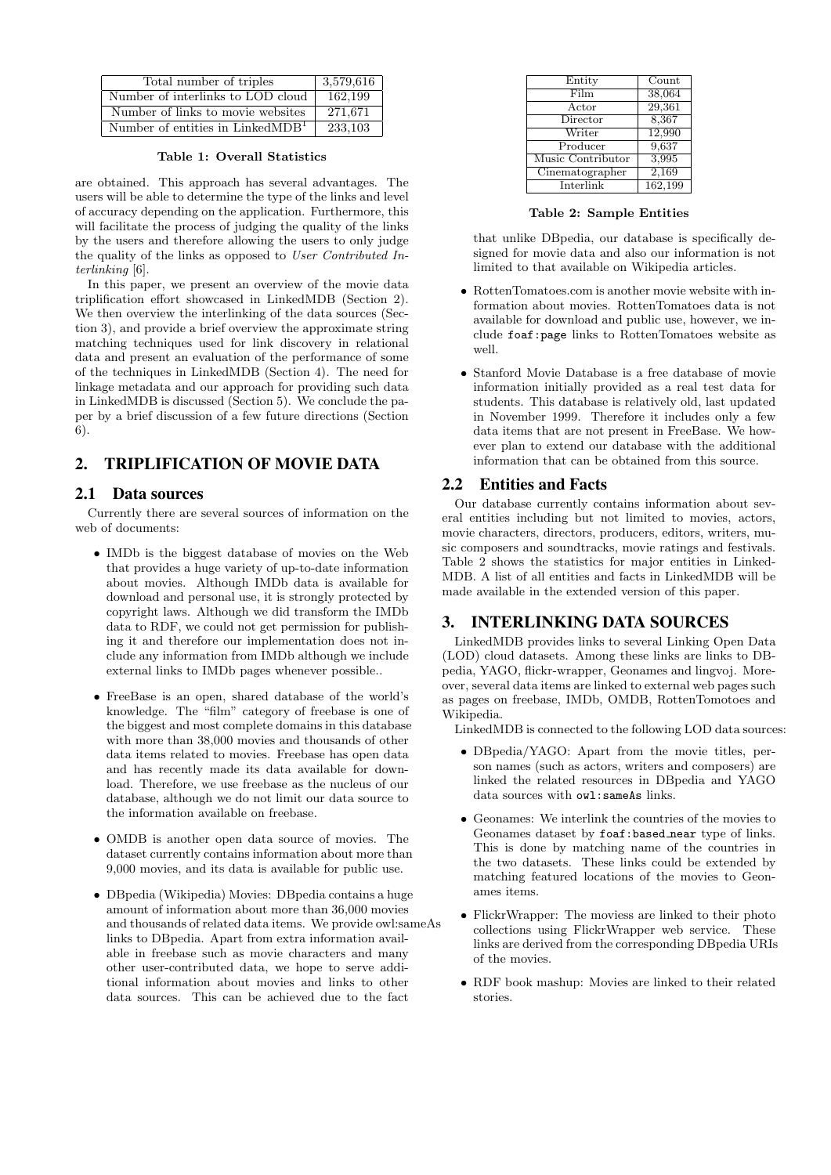| Total number of triples             | 3,579,616 |
|-------------------------------------|-----------|
| Number of interlinks to LOD cloud   | 162.199   |
| Number of links to movie websites   | 271,671   |
| Number of entities in Linked $MDB1$ | 233.103   |

Table 1: Overall Statistics

are obtained. This approach has several advantages. The users will be able to determine the type of the links and level of accuracy depending on the application. Furthermore, this will facilitate the process of judging the quality of the links by the users and therefore allowing the users to only judge the quality of the links as opposed to User Contributed Interlinking [6].

In this paper, we present an overview of the movie data triplification effort showcased in LinkedMDB (Section 2). We then overview the interlinking of the data sources (Section 3), and provide a brief overview the approximate string matching techniques used for link discovery in relational data and present an evaluation of the performance of some of the techniques in LinkedMDB (Section 4). The need for linkage metadata and our approach for providing such data in LinkedMDB is discussed (Section 5). We conclude the paper by a brief discussion of a few future directions (Section 6).

# 2. TRIPLIFICATION OF MOVIE DATA

### 2.1 Data sources

Currently there are several sources of information on the web of documents:

- IMDb is the biggest database of movies on the Web that provides a huge variety of up-to-date information about movies. Although IMDb data is available for download and personal use, it is strongly protected by copyright laws. Although we did transform the IMDb data to RDF, we could not get permission for publishing it and therefore our implementation does not include any information from IMDb although we include external links to IMDb pages whenever possible..
- FreeBase is an open, shared database of the world's knowledge. The "film" category of freebase is one of the biggest and most complete domains in this database with more than 38,000 movies and thousands of other data items related to movies. Freebase has open data and has recently made its data available for download. Therefore, we use freebase as the nucleus of our database, although we do not limit our data source to the information available on freebase.
- OMDB is another open data source of movies. The dataset currently contains information about more than 9,000 movies, and its data is available for public use.
- DBpedia (Wikipedia) Movies: DBpedia contains a huge amount of information about more than 36,000 movies and thousands of related data items. We provide owl:sameAs links to DBpedia. Apart from extra information available in freebase such as movie characters and many other user-contributed data, we hope to serve additional information about movies and links to other data sources. This can be achieved due to the fact

| Entity            | $\overline{\text{Count}}$ |
|-------------------|---------------------------|
| Film              | 38,064                    |
| Actor             | 29,361                    |
| Director          | 8,367                     |
| Writer            | 12,990                    |
| Producer          | 9,637                     |
| Music Contributor | 3,995                     |
| Cinematographer   | 2,169                     |
| Interlink         | 162,199                   |
|                   |                           |

Table 2: Sample Entities

that unlike DBpedia, our database is specifically designed for movie data and also our information is not limited to that available on Wikipedia articles.

- RottenTomatoes.com is another movie website with information about movies. RottenTomatoes data is not available for download and public use, however, we include foaf:page links to RottenTomatoes website as well.
- Stanford Movie Database is a free database of movie information initially provided as a real test data for students. This database is relatively old, last updated in November 1999. Therefore it includes only a few data items that are not present in FreeBase. We however plan to extend our database with the additional information that can be obtained from this source.

### 2.2 Entities and Facts

Our database currently contains information about several entities including but not limited to movies, actors, movie characters, directors, producers, editors, writers, music composers and soundtracks, movie ratings and festivals. Table 2 shows the statistics for major entities in Linked-MDB. A list of all entities and facts in LinkedMDB will be made available in the extended version of this paper.

### 3. INTERLINKING DATA SOURCES

LinkedMDB provides links to several Linking Open Data (LOD) cloud datasets. Among these links are links to DBpedia, YAGO, flickr-wrapper, Geonames and lingvoj. Moreover, several data items are linked to external web pages such as pages on freebase, IMDb, OMDB, RottenTomotoes and Wikipedia.

LinkedMDB is connected to the following LOD data sources:

- DBpedia/YAGO: Apart from the movie titles, person names (such as actors, writers and composers) are linked the related resources in DBpedia and YAGO data sources with owl:sameAs links.
- Geonames: We interlink the countries of the movies to Geonames dataset by foaf:based near type of links. This is done by matching name of the countries in the two datasets. These links could be extended by matching featured locations of the movies to Geonames items.
- FlickrWrapper: The moviess are linked to their photo collections using FlickrWrapper web service. These links are derived from the corresponding DBpedia URIs of the movies.
- RDF book mashup: Movies are linked to their related stories.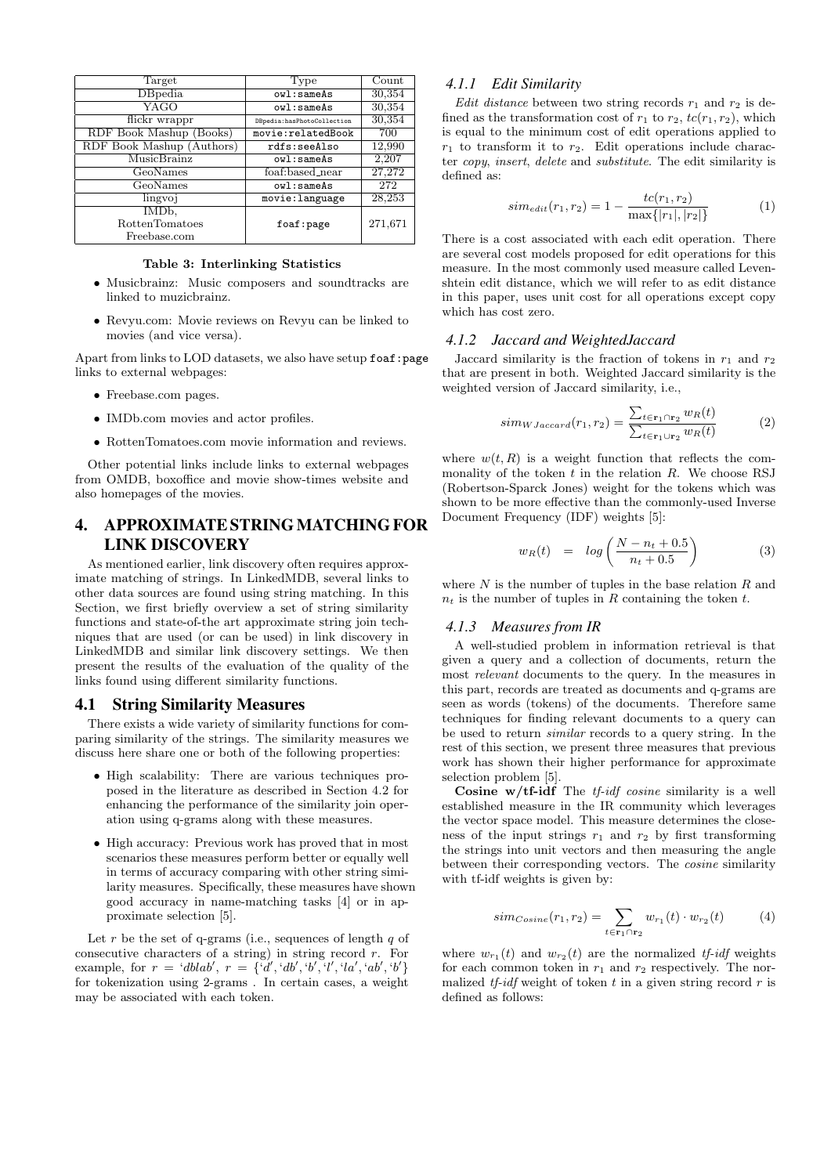| Target                    | Type                                  | Count   |
|---------------------------|---------------------------------------|---------|
| DBpedia                   | ovl:sameAs                            | 30,354  |
| YAGO                      | ovl:sameAs                            | 30,354  |
| flickr wrappr             | DBpedia:hasPhotoCollection            | 30,354  |
| RDF Book Mashup (Books)   | $\overline{\text{movie:relatedBook}}$ | 700     |
| RDF Book Mashup (Authors) | rdfs:seeAlso                          | 12,990  |
| MusicBrainz               | ov1: sameAs                           | 2,207   |
| GeoNames                  | foaf:based_near                       | 27,272  |
| GeoNames                  | ovl:sameAs                            | 272     |
| lingvoj                   | movie: language                       | 28,253  |
| IMD <sub>b</sub> ,        |                                       |         |
| <b>RottenTomatoes</b>     | foaf:page                             | 271,671 |
| Freebase.com              |                                       |         |

Table 3: Interlinking Statistics

- Musicbrainz: Music composers and soundtracks are linked to muzicbrainz.
- Revyu.com: Movie reviews on Revyu can be linked to movies (and vice versa).

Apart from links to LOD datasets, we also have setup foaf: page links to external webpages:

- Freebase.com pages.
- IMDb.com movies and actor profiles.
- RottenTomatoes.com movie information and reviews.

Other potential links include links to external webpages from OMDB, boxoffice and movie show-times website and also homepages of the movies.

## 4. APPROXIMATE STRING MATCHING FOR LINK DISCOVERY

As mentioned earlier, link discovery often requires approximate matching of strings. In LinkedMDB, several links to other data sources are found using string matching. In this Section, we first briefly overview a set of string similarity functions and state-of-the art approximate string join techniques that are used (or can be used) in link discovery in LinkedMDB and similar link discovery settings. We then present the results of the evaluation of the quality of the links found using different similarity functions.

#### 4.1 String Similarity Measures

There exists a wide variety of similarity functions for comparing similarity of the strings. The similarity measures we discuss here share one or both of the following properties:

- High scalability: There are various techniques proposed in the literature as described in Section 4.2 for enhancing the performance of the similarity join operation using q-grams along with these measures.
- High accuracy: Previous work has proved that in most scenarios these measures perform better or equally well in terms of accuracy comparing with other string similarity measures. Specifically, these measures have shown good accuracy in name-matching tasks [4] or in approximate selection [5].

Let  $r$  be the set of q-grams (i.e., sequences of length  $q$  of consecutive characters of a string) in string record  $r$ . For example, for  $r = 'dblab', r = {'d', 'db', 'b', 'l', 'la', 'ab', 'b'}$ for tokenization using 2-grams . In certain cases, a weight may be associated with each token.

### *4.1.1 Edit Similarity*

Edit distance between two string records  $r_1$  and  $r_2$  is defined as the transformation cost of  $r_1$  to  $r_2$ ,  $tc(r_1, r_2)$ , which is equal to the minimum cost of edit operations applied to  $r_1$  to transform it to  $r_2$ . Edit operations include character copy, insert, delete and substitute. The edit similarity is defined as:

$$
sim_{edit}(r_1, r_2) = 1 - \frac{tc(r_1, r_2)}{\max\{|r_1|, |r_2|\}}
$$
 (1)

There is a cost associated with each edit operation. There are several cost models proposed for edit operations for this measure. In the most commonly used measure called Levenshtein edit distance, which we will refer to as edit distance in this paper, uses unit cost for all operations except copy which has cost zero.

#### *4.1.2 Jaccard and WeightedJaccard*

Jaccard similarity is the fraction of tokens in  $r_1$  and  $r_2$ that are present in both. Weighted Jaccard similarity is the weighted version of Jaccard similarity, i.e.,

$$
sim_{WJaccard}(r_1, r_2) = \frac{\sum_{t \in \mathbf{r}_1 \cap \mathbf{r}_2} w_R(t)}{\sum_{t \in \mathbf{r}_1 \cup \mathbf{r}_2} w_R(t)}
$$
(2)

where  $w(t, R)$  is a weight function that reflects the commonality of the token  $t$  in the relation  $R$ . We choose RSJ (Robertson-Sparck Jones) weight for the tokens which was shown to be more effective than the commonly-used Inverse Document Frequency (IDF) weights [5]:

$$
w_R(t) = \log\left(\frac{N - n_t + 0.5}{n_t + 0.5}\right) \tag{3}
$$

where  $N$  is the number of tuples in the base relation  $R$  and  $n_t$  is the number of tuples in R containing the token t.

#### *4.1.3 Measures from IR*

A well-studied problem in information retrieval is that given a query and a collection of documents, return the most relevant documents to the query. In the measures in this part, records are treated as documents and q-grams are seen as words (tokens) of the documents. Therefore same techniques for finding relevant documents to a query can be used to return similar records to a query string. In the rest of this section, we present three measures that previous work has shown their higher performance for approximate selection problem [5].

Cosine  $w/tf$ -idf The *tf-idf cosine* similarity is a well established measure in the IR community which leverages the vector space model. This measure determines the closeness of the input strings  $r_1$  and  $r_2$  by first transforming the strings into unit vectors and then measuring the angle between their corresponding vectors. The cosine similarity with tf-idf weights is given by:

$$
sim_{Cosine}(r_1, r_2) = \sum_{t \in \mathbf{r}_1 \cap \mathbf{r}_2} w_{r_1}(t) \cdot w_{r_2}(t) \tag{4}
$$

where  $w_{r_1}(t)$  and  $w_{r_2}(t)$  are the normalized tf-idf weights for each common token in  $r_1$  and  $r_2$  respectively. The normalized  $tf-idf$  weight of token t in a given string record r is defined as follows: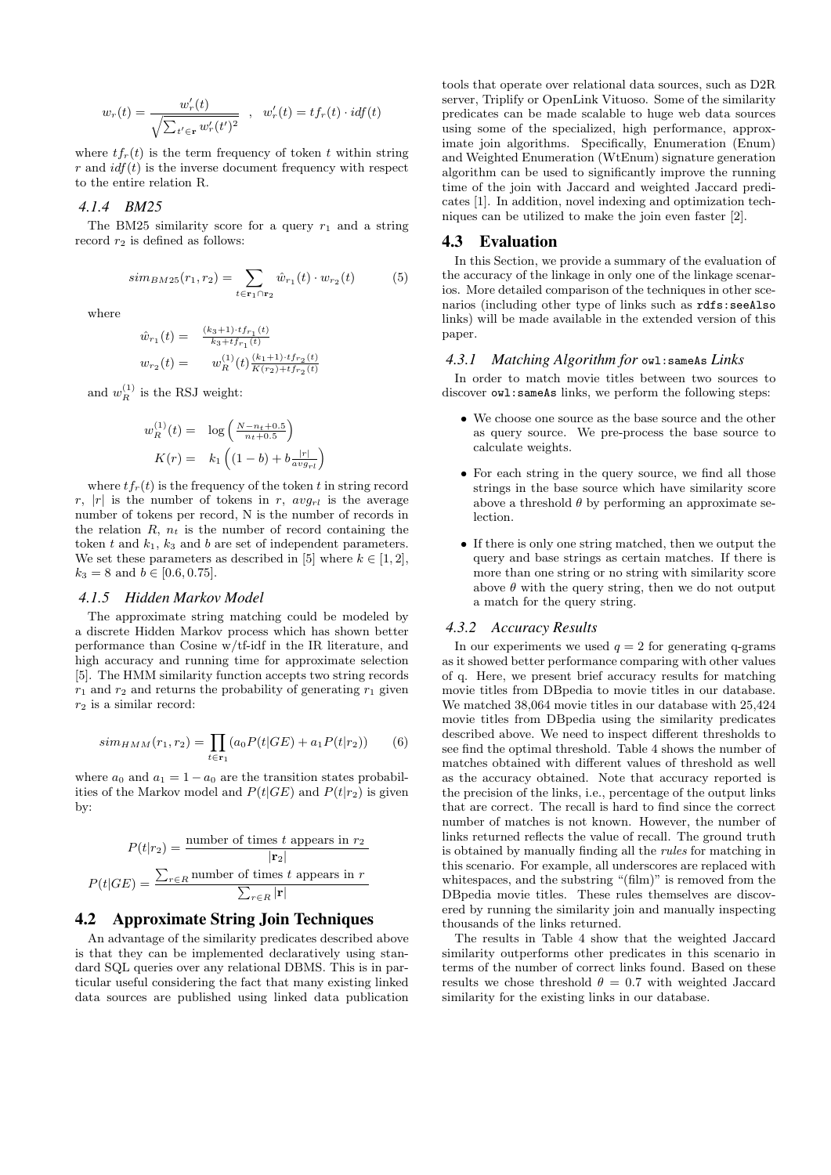$$
w_r(t) = \frac{w'_r(t)}{\sqrt{\sum_{t' \in \mathbf{r}} w'_r(t')^2}} \quad , \quad w'_r(t) = t f_r(t) \cdot idf(t)
$$

where  $tf_r(t)$  is the term frequency of token t within string r and  $\textit{idf}(t)$  is the inverse document frequency with respect to the entire relation R.

#### *4.1.4 BM25*

The BM25 similarity score for a query  $r_1$  and a string record  $r_2$  is defined as follows:

$$
sim_{BM25}(r_1, r_2) = \sum_{t \in \mathbf{r}_1 \cap \mathbf{r}_2} \hat{w}_{r_1}(t) \cdot w_{r_2}(t) \tag{5}
$$

where

$$
\hat{w}_{r_1}(t) = \frac{(k_3+1) \cdot t f_{r_1}(t)}{k_3 + t f_{r_1}(t)}
$$
  

$$
w_{r_2}(t) = w_R^{(1)}(t) \frac{(k_1+1) \cdot t f_{r_2}(t)}{K(r_2) + t f_{r_2}(t)}
$$

and  $w_R^{(1)}$  is the RSJ weight:

$$
w_R^{(1)}(t) = \log\left(\frac{N - n_t + 0.5}{n_t + 0.5}\right)
$$

$$
K(r) = k_1 \left((1 - b) + b \frac{|r|}{avg_{rl}}\right)
$$

where  $tf_r(t)$  is the frequency of the token t in string record r, |r| is the number of tokens in r,  $avg_{rl}$  is the average number of tokens per record, N is the number of records in the relation  $R$ ,  $n_t$  is the number of record containing the token t and  $k_1$ ,  $k_3$  and b are set of independent parameters. We set these parameters as described in [5] where  $k \in [1, 2]$ ,  $k_3 = 8$  and  $b \in [0.6, 0.75]$ .

#### *4.1.5 Hidden Markov Model*

The approximate string matching could be modeled by a discrete Hidden Markov process which has shown better performance than Cosine w/tf-idf in the IR literature, and high accuracy and running time for approximate selection [5]. The HMM similarity function accepts two string records  $r_1$  and  $r_2$  and returns the probability of generating  $r_1$  given  $r_2$  is a similar record:

$$
sim_{HMM}(r_1, r_2) = \prod_{t \in \mathbf{r}_1} (a_0 P(t|GE) + a_1 P(t|r_2)) \tag{6}
$$

where  $a_0$  and  $a_1 = 1 - a_0$  are the transition states probabilities of the Markov model and  $P(t|GE)$  and  $P(t|r_2)$  is given by:

$$
P(t|r_2) = \frac{\text{number of times } t \text{ appears in } r_2}{|\mathbf{r}_2|}
$$

$$
P(t|GE) = \frac{\sum_{r \in R} \text{number of times } t \text{ appears in } r}{\sum_{r \in R} |\mathbf{r}|}
$$

### 4.2 Approximate String Join Techniques

An advantage of the similarity predicates described above is that they can be implemented declaratively using standard SQL queries over any relational DBMS. This is in particular useful considering the fact that many existing linked data sources are published using linked data publication

tools that operate over relational data sources, such as D2R server, Triplify or OpenLink Vituoso. Some of the similarity predicates can be made scalable to huge web data sources using some of the specialized, high performance, approximate join algorithms. Specifically, Enumeration (Enum) and Weighted Enumeration (WtEnum) signature generation algorithm can be used to significantly improve the running time of the join with Jaccard and weighted Jaccard predicates [1]. In addition, novel indexing and optimization techniques can be utilized to make the join even faster [2].

#### 4.3 Evaluation

In this Section, we provide a summary of the evaluation of the accuracy of the linkage in only one of the linkage scenarios. More detailed comparison of the techniques in other scenarios (including other type of links such as rdfs:seeAlso links) will be made available in the extended version of this paper.

#### *4.3.1 Matching Algorithm for* owl:sameAs *Links*

In order to match movie titles between two sources to discover  $ov1:$  sameAs links, we perform the following steps:

- We choose one source as the base source and the other as query source. We pre-process the base source to calculate weights.
- For each string in the query source, we find all those strings in the base source which have similarity score above a threshold  $\theta$  by performing an approximate selection.
- If there is only one string matched, then we output the query and base strings as certain matches. If there is more than one string or no string with similarity score above  $\theta$  with the query string, then we do not output a match for the query string.

#### *4.3.2 Accuracy Results*

In our experiments we used  $q = 2$  for generating q-grams as it showed better performance comparing with other values of q. Here, we present brief accuracy results for matching movie titles from DBpedia to movie titles in our database. We matched 38,064 movie titles in our database with 25,424 movie titles from DBpedia using the similarity predicates described above. We need to inspect different thresholds to see find the optimal threshold. Table 4 shows the number of matches obtained with different values of threshold as well as the accuracy obtained. Note that accuracy reported is the precision of the links, i.e., percentage of the output links that are correct. The recall is hard to find since the correct number of matches is not known. However, the number of links returned reflects the value of recall. The ground truth is obtained by manually finding all the rules for matching in this scenario. For example, all underscores are replaced with whitespaces, and the substring "(film)" is removed from the DBpedia movie titles. These rules themselves are discovered by running the similarity join and manually inspecting thousands of the links returned.

The results in Table 4 show that the weighted Jaccard similarity outperforms other predicates in this scenario in terms of the number of correct links found. Based on these results we chose threshold  $\theta = 0.7$  with weighted Jaccard similarity for the existing links in our database.